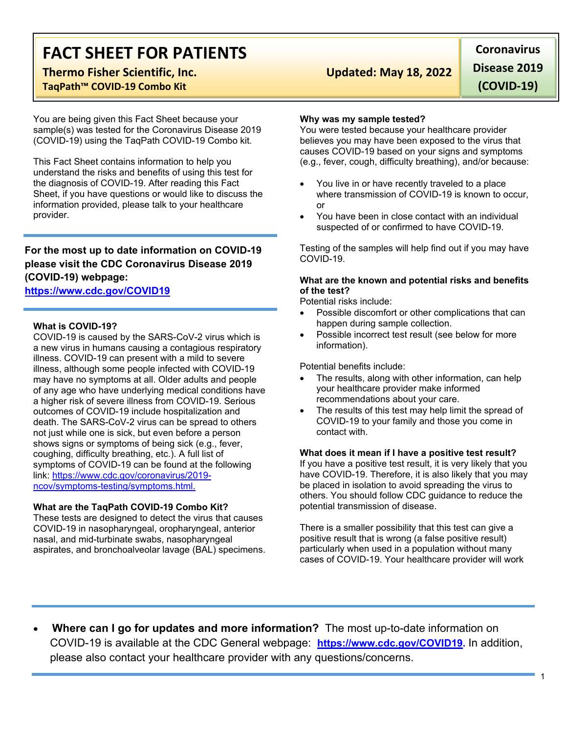# **FACT SHEET FOR PATIENTS**

# **Thermo Fisher Scientific, Inc. Updated: May 18, 2022**

## **TaqPath™ COVID-19 Combo Kit**

You are being given this Fact Sheet because your sample(s) was tested for the Coronavirus Disease 2019 (COVID-19) using the TaqPath COVID-19 Combo kit.

This Fact Sheet contains information to help you understand the risks and benefits of using this test for the diagnosis of COVID-19. After reading this Fact Sheet, if you have questions or would like to discuss the information provided, please talk to your healthcare provider.

# **For the most up to date information on COVID-19 please visit the CDC Coronavirus Disease 2019 (COVID-19) webpage:**

### **[https://www.cdc.gov/COVID19](https://www.cdc.gov/nCoV)**

### **What is COVID-19?**

COVID-19 is caused by the SARS-CoV-2 virus which is a new virus in humans causing a contagious respiratory illness. COVID-19 can present with a mild to severe illness, although some people infected with COVID-19 may have no symptoms at all. Older adults and people of any age who have underlying medical conditions have a higher risk of severe illness from COVID-19. Serious outcomes of COVID-19 include hospitalization and death. The SARS-CoV-2 virus can be spread to others not just while one is sick, but even before a person shows signs or symptoms of being sick (e.g., fever, coughing, difficulty breathing, etc.). A full list of symptoms of COVID-19 can be found at the following link: [https://www.cdc.gov/coronavirus/2019](https://www.cdc.gov/coronavirus/2019-ncov/symptoms-testing/symptoms.html) [ncov/symptoms-testing/symptoms.html.](https://www.cdc.gov/coronavirus/2019-ncov/symptoms-testing/symptoms.html)

### **What are the TaqPath COVID-19 Combo Kit?**

These tests are designed to detect the virus that causes COVID-19 in nasopharyngeal, oropharyngeal, anterior nasal, and mid-turbinate swabs, nasopharyngeal aspirates, and bronchoalveolar lavage (BAL) specimens.

**Coronavirus Disease 2019 (COVID-19)**

#### **Why was my sample tested?**

You were tested because your healthcare provider believes you may have been exposed to the virus that causes COVID-19 based on your signs and symptoms (e.g., fever, cough, difficulty breathing), and/or because:

- You live in or have recently traveled to a place where transmission of COVID-19 is known to occur. or
- You have been in close contact with an individual suspected of or confirmed to have COVID-19.

Testing of the samples will help find out if you may have COVID-19.

### **What are the known and potential risks and benefits of the test?**

Potential risks include:

- Possible discomfort or other complications that can happen during sample collection.
- Possible incorrect test result (see below for more information).

Potential benefits include:

- The results, along with other information, can help your healthcare provider make informed recommendations about your care.
- The results of this test may help limit the spread of COVID-19 to your family and those you come in contact with.

#### **What does it mean if I have a positive test result?**

If you have a positive test result, it is very likely that you have COVID-19. Therefore, it is also likely that you may be placed in isolation to avoid spreading the virus to others. You should follow CDC guidance to reduce the potential transmission of disease.

There is a smaller possibility that this test can give a positive result that is wrong (a false positive result) particularly when used in a population without many cases of COVID-19. Your healthcare provider will work

• **Where can I go for updates and more information?** The most up-to-date information on COVID-19 is available at the CDC General webpage: **[https://www.cdc.gov/COVID19.](https://www.cdc.gov/nCoV)** In addition, please also contact your healthcare provider with any questions/concerns.